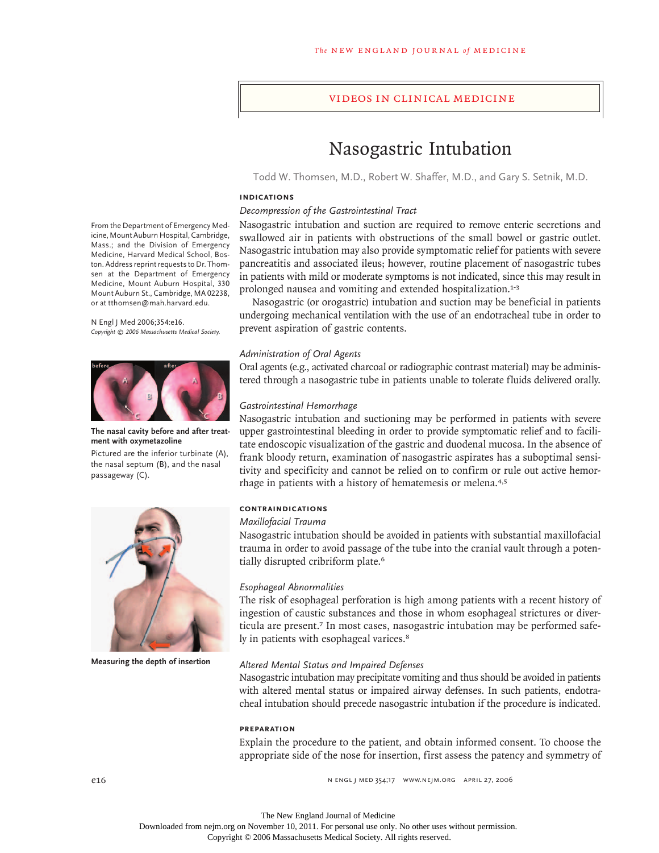# videos in clinical medicine

# Nasogastric Intubation

Todd W. Thomsen, M.D., Robert W. Shaffer, M.D., and Gary S. Setnik, M.D.

#### **INDICATIONS**

# *Decompression of the Gastrointestinal Tract*

Nasogastric intubation and suction are required to remove enteric secretions and swallowed air in patients with obstructions of the small bowel or gastric outlet. Nasogastric intubation may also provide symptomatic relief for patients with severe pancreatitis and associated ileus; however, routine placement of nasogastric tubes in patients with mild or moderate symptoms is not indicated, since this may result in prolonged nausea and vomiting and extended hospitalization.<sup>1-3</sup>

Nasogastric (or orogastric) intubation and suction may be beneficial in patients undergoing mechanical ventilation with the use of an endotracheal tube in order to prevent aspiration of gastric contents.

## *Administration of Oral Agents*

Oral agents (e.g., activated charcoal or radiographic contrast material) may be administered through a nasogastric tube in patients unable to tolerate fluids delivered orally.

#### *Gastrointestinal Hemorrhage*

Nasogastric intubation and suctioning may be performed in patients with severe upper gastrointestinal bleeding in order to provide symptomatic relief and to facilitate endoscopic visualization of the gastric and duodenal mucosa. In the absence of frank bloody return, examination of nasogastric aspirates has a suboptimal sensitivity and specificity and cannot be relied on to confirm or rule out active hemorrhage in patients with a history of hematemesis or melena.4,5

### **CONTRAINDICATIONS**

### *Maxillofacial Trauma*

Nasogastric intubation should be avoided in patients with substantial maxillofacial trauma in order to avoid passage of the tube into the cranial vault through a potentially disrupted cribriform plate.<sup>6</sup>

#### *Esophageal Abnormalities*

The risk of esophageal perforation is high among patients with a recent history of ingestion of caustic substances and those in whom esophageal strictures or diverticula are present.<sup>7</sup> In most cases, nasogastric intubation may be performed safely in patients with esophageal varices.<sup>8</sup>

#### *Altered Mental Status and Impaired Defenses*

Nasogastric intubation may precipitate vomiting and thus should be avoided in patients with altered mental status or impaired airway defenses. In such patients, endotracheal intubation should precede nasogastric intubation if the procedure is indicated.

#### **PREPARATION**

Explain the procedure to the patient, and obtain informed consent. To choose the appropriate side of the nose for insertion, first assess the patency and symmetry of

n engl j med 354;17 www.nejm.org april 27, 2006

From the Department of Emergency Medicine, Mount Auburn Hospital, Cambridge, Mass.; and the Division of Emergency Medicine, Harvard Medical School, Boston. Address reprint requests to Dr. Thomsen at the Department of Emergency Medicine, Mount Auburn Hospital, 330 Mount Auburn St., Cambridge, MA 02238, or at tthomsen@mah.harvard.edu.

#### N Engl J Med 2006;354:e16. *Copyright © 2006 Massachusetts Medical Society.*



# **The nasal cavity before and after treatment with oxymetazoline**

Pictured are the inferior turbinate (A), the nasal septum (B), and the nasal passageway (C).



**Measuring the depth of insertion**

The New England Journal of Medicine

Downloaded from nejm.org on November 10, 2011. For personal use only. No other uses without permission.

Copyright © 2006 Massachusetts Medical Society. All rights reserved.